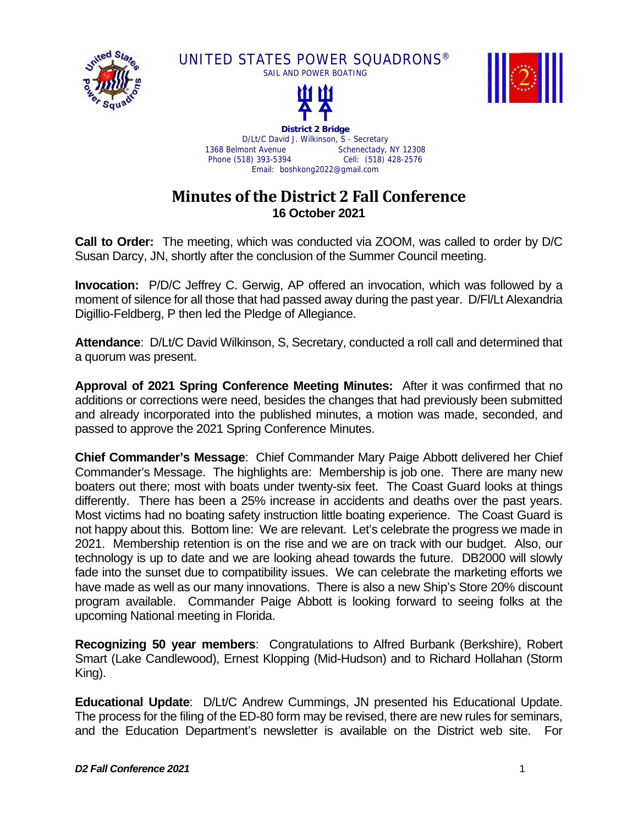

UNITED STATES POWER SQUADRONS® SAIL AND POWER BOATING





**District 2 Bridge**  D/Lt/C David J. Wilkinson, S - Secretary<br>1368 Belmont Avenue Schenectady. Schenectady, NY 12308 Phone (518) 393-5394 Cell: (518) 428-2576 Email: boshkong2022@gmail.com

## **Minutes of the District 2 Fall Conference 16 October 2021**

**Call to Order:** The meeting, which was conducted via ZOOM, was called to order by D/C Susan Darcy, JN, shortly after the conclusion of the Summer Council meeting.

**Invocation:** P/D/C Jeffrey C. Gerwig, AP offered an invocation, which was followed by a moment of silence for all those that had passed away during the past year. D/Fl/Lt Alexandria Digillio-Feldberg, P then led the Pledge of Allegiance.

**Attendance**: D/Lt/C David Wilkinson, S, Secretary, conducted a roll call and determined that a quorum was present.

**Approval of 2021 Spring Conference Meeting Minutes:** After it was confirmed that no additions or corrections were need, besides the changes that had previously been submitted and already incorporated into the published minutes, a motion was made, seconded, and passed to approve the 2021 Spring Conference Minutes.

**Chief Commander's Message**: Chief Commander Mary Paige Abbott delivered her Chief Commander's Message. The highlights are: Membership is job one. There are many new boaters out there; most with boats under twenty-six feet. The Coast Guard looks at things differently. There has been a 25% increase in accidents and deaths over the past years. Most victims had no boating safety instruction little boating experience. The Coast Guard is not happy about this. Bottom line: We are relevant. Let's celebrate the progress we made in 2021. Membership retention is on the rise and we are on track with our budget. Also, our technology is up to date and we are looking ahead towards the future. DB2000 will slowly fade into the sunset due to compatibility issues. We can celebrate the marketing efforts we have made as well as our many innovations. There is also a new Ship's Store 20% discount program available. Commander Paige Abbott is looking forward to seeing folks at the upcoming National meeting in Florida.

**Recognizing 50 year members**: Congratulations to Alfred Burbank (Berkshire), Robert Smart (Lake Candlewood), Ernest Klopping (Mid-Hudson) and to Richard Hollahan (Storm King).

**Educational Update**: D/Lt/C Andrew Cummings, JN presented his Educational Update. The process for the filing of the ED-80 form may be revised, there are new rules for seminars, and the Education Department's newsletter is available on the District web site. For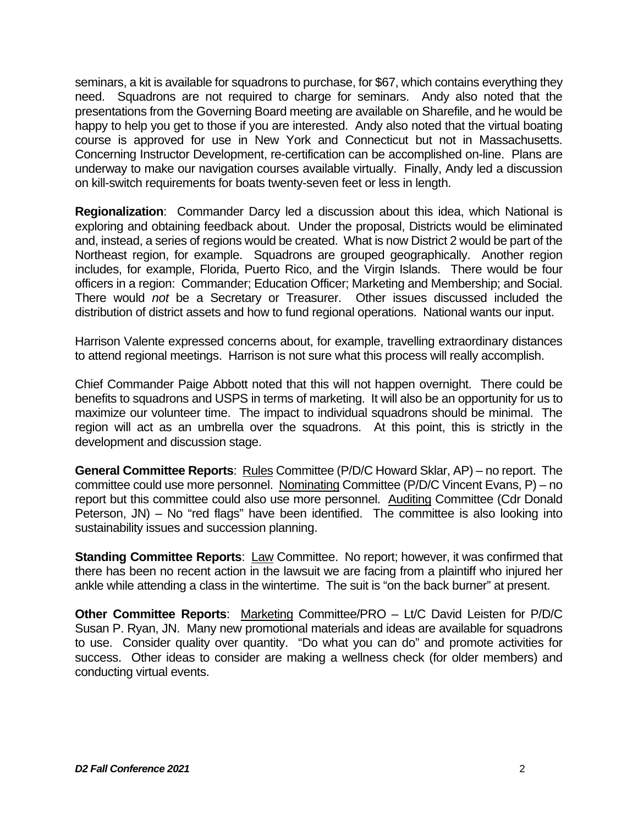seminars, a kit is available for squadrons to purchase, for \$67, which contains everything they need. Squadrons are not required to charge for seminars. Andy also noted that the presentations from the Governing Board meeting are available on Sharefile, and he would be happy to help you get to those if you are interested. Andy also noted that the virtual boating course is approved for use in New York and Connecticut but not in Massachusetts. Concerning Instructor Development, re-certification can be accomplished on-line. Plans are underway to make our navigation courses available virtually. Finally, Andy led a discussion on kill-switch requirements for boats twenty-seven feet or less in length.

**Regionalization**: Commander Darcy led a discussion about this idea, which National is exploring and obtaining feedback about. Under the proposal, Districts would be eliminated and, instead, a series of regions would be created. What is now District 2 would be part of the Northeast region, for example. Squadrons are grouped geographically. Another region includes, for example, Florida, Puerto Rico, and the Virgin Islands. There would be four officers in a region: Commander; Education Officer; Marketing and Membership; and Social. There would *not* be a Secretary or Treasurer. Other issues discussed included the distribution of district assets and how to fund regional operations. National wants our input.

Harrison Valente expressed concerns about, for example, travelling extraordinary distances to attend regional meetings. Harrison is not sure what this process will really accomplish.

Chief Commander Paige Abbott noted that this will not happen overnight. There could be benefits to squadrons and USPS in terms of marketing. It will also be an opportunity for us to maximize our volunteer time. The impact to individual squadrons should be minimal. The region will act as an umbrella over the squadrons. At this point, this is strictly in the development and discussion stage.

**General Committee Reports**: Rules Committee (P/D/C Howard Sklar, AP) – no report. The committee could use more personnel. Nominating Committee (P/D/C Vincent Evans, P) – no report but this committee could also use more personnel. Auditing Committee (Cdr Donald Peterson, JN) – No "red flags" have been identified. The committee is also looking into sustainability issues and succession planning.

**Standing Committee Reports:** Law Committee. No report; however, it was confirmed that there has been no recent action in the lawsuit we are facing from a plaintiff who injured her ankle while attending a class in the wintertime. The suit is "on the back burner" at present.

**Other Committee Reports: Marketing Committee/PRO – Lt/C David Leisten for P/D/C** Susan P. Ryan, JN. Many new promotional materials and ideas are available for squadrons to use. Consider quality over quantity. "Do what you can do" and promote activities for success. Other ideas to consider are making a wellness check (for older members) and conducting virtual events.